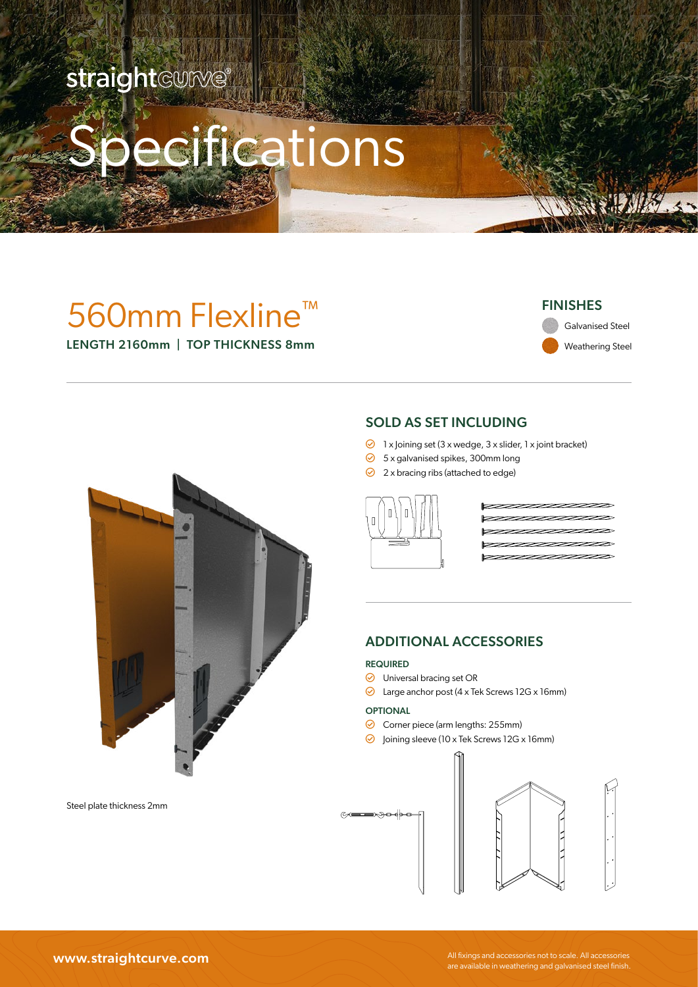### straight@UIW@®

# cifications

### 560mm Flexline™ LENGTH 2160mm | TOP THICKNESS 8mm

### FINISHES

Weathering Steel Galvanised Steel



Steel plate thickness 2mm

### SOLD AS SET INCLUDING

- $\odot$  1 x loining set (3 x wedge, 3 x slider, 1 x joint bracket)
- $\odot$  5 x galvanised spikes, 300mm long
- $\odot$  2 x bracing ribs (attached to edge)



### ADDITIONAL ACCESSORIES

#### REQUIRED

- O Universal bracing set OR
- Large anchor post (4 x Tek Screws 12G x 16mm)

#### OPTIONAL

- Corner piece (arm lengths: 255mm)
- $\odot$  Joining sleeve (10 x Tek Screws 12G x 16mm)





WWW.Straightcurve.com All fixings and accessories not to scale. All accessories not to scale. All accessories<br>are available in weathering and galvanised steel finish.